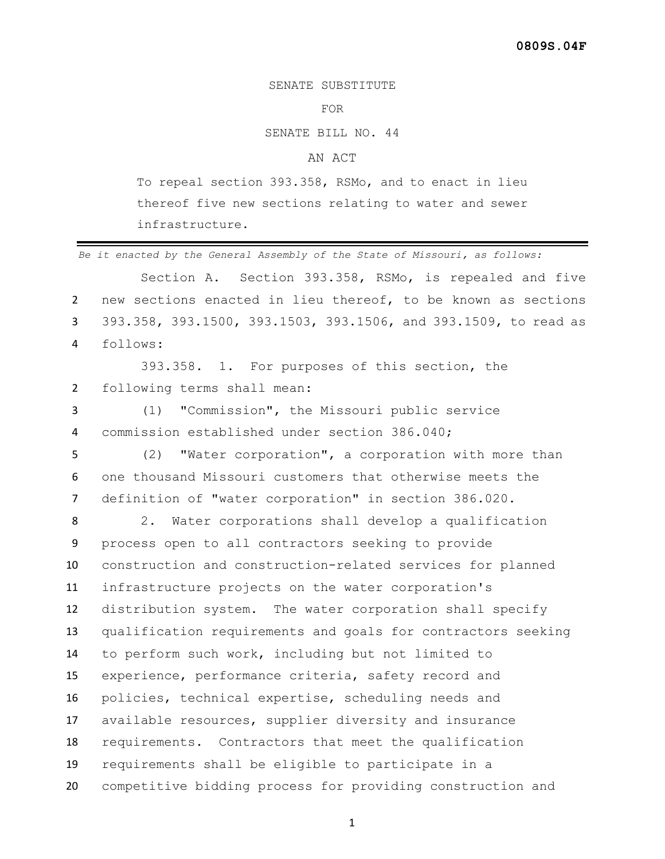SENATE SUBSTITUTE

## FOR

SENATE BILL NO. 44

## AN ACT

To repeal section 393.358, RSMo, and to enact in lieu thereof five new sections relating to water and sewer infrastructure.

*Be it enacted by the General Assembly of the State of Missouri, as follows:* Section A. Section 393.358, RSMo, is repealed and five new sections enacted in lieu thereof, to be known as sections 393.358, 393.1500, 393.1503, 393.1506, and 393.1509, to read as follows: 393.358. 1. For purposes of this section, the following terms shall mean: (1) "Commission", the Missouri public service commission established under section 386.040; (2) "Water corporation", a corporation with more than one thousand Missouri customers that otherwise meets the definition of "water corporation" in section 386.020. 2. Water corporations shall develop a qualification process open to all contractors seeking to provide construction and construction-related services for planned infrastructure projects on the water corporation's distribution system. The water corporation shall specify qualification requirements and goals for contractors seeking to perform such work, including but not limited to experience, performance criteria, safety record and policies, technical expertise, scheduling needs and available resources, supplier diversity and insurance requirements. Contractors that meet the qualification requirements shall be eligible to participate in a competitive bidding process for providing construction and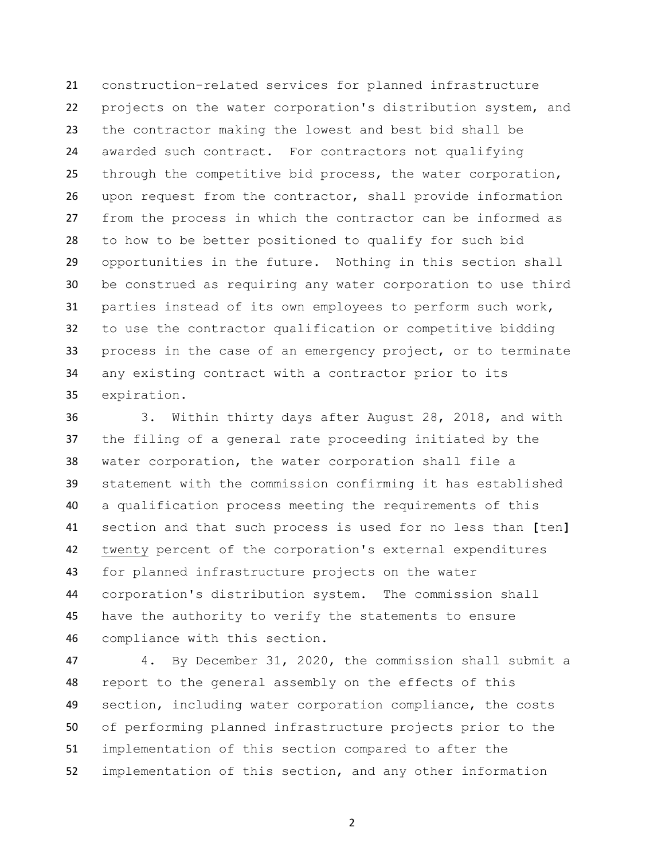construction-related services for planned infrastructure projects on the water corporation's distribution system, and the contractor making the lowest and best bid shall be awarded such contract. For contractors not qualifying through the competitive bid process, the water corporation, upon request from the contractor, shall provide information from the process in which the contractor can be informed as to how to be better positioned to qualify for such bid opportunities in the future. Nothing in this section shall be construed as requiring any water corporation to use third parties instead of its own employees to perform such work, to use the contractor qualification or competitive bidding process in the case of an emergency project, or to terminate any existing contract with a contractor prior to its expiration.

 3. Within thirty days after August 28, 2018, and with the filing of a general rate proceeding initiated by the water corporation, the water corporation shall file a statement with the commission confirming it has established a qualification process meeting the requirements of this section and that such process is used for no less than **[**ten**]** twenty percent of the corporation's external expenditures for planned infrastructure projects on the water corporation's distribution system. The commission shall have the authority to verify the statements to ensure compliance with this section.

 4. By December 31, 2020, the commission shall submit a report to the general assembly on the effects of this section, including water corporation compliance, the costs of performing planned infrastructure projects prior to the implementation of this section compared to after the implementation of this section, and any other information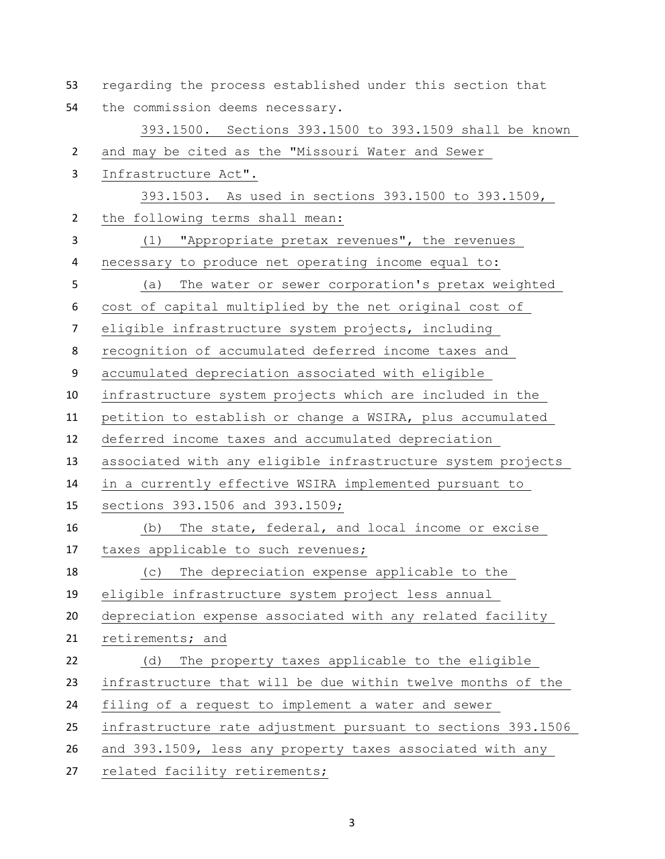| 53             | regarding the process established under this section that    |
|----------------|--------------------------------------------------------------|
| 54             | the commission deems necessary.                              |
|                | 393.1500. Sections 393.1500 to 393.1509 shall be known       |
| $\overline{2}$ | and may be cited as the "Missouri Water and Sewer            |
| 3              | Infrastructure Act".                                         |
|                | 393.1503. As used in sections 393.1500 to 393.1509,          |
| $\overline{2}$ | the following terms shall mean:                              |
| 3              | (1) "Appropriate pretax revenues", the revenues              |
| 4              | necessary to produce net operating income equal to:          |
| 5              | The water or sewer corporation's pretax weighted<br>(a)      |
| 6              | cost of capital multiplied by the net original cost of       |
| $\overline{7}$ | eligible infrastructure system projects, including           |
| $\bf 8$        | recognition of accumulated deferred income taxes and         |
| 9              | accumulated depreciation associated with eligible            |
| 10             | infrastructure system projects which are included in the     |
| 11             | petition to establish or change a WSIRA, plus accumulated    |
| 12             | deferred income taxes and accumulated depreciation           |
| 13             | associated with any eligible infrastructure system projects  |
| 14             | in a currently effective WSIRA implemented pursuant to       |
| 15             | sections 393.1506 and 393.1509;                              |
| 16             | (b) The state, federal, and local income or excise           |
| 17             | taxes applicable to such revenues;                           |
| 18             | The depreciation expense applicable to the<br>(C)            |
| 19             | eligible infrastructure system project less annual           |
| 20             | depreciation expense associated with any related facility    |
| 21             | retirements; and                                             |
| 22             | The property taxes applicable to the eligible<br>(d)         |
| 23             | infrastructure that will be due within twelve months of the  |
| 24             | filing of a request to implement a water and sewer           |
| 25             | infrastructure rate adjustment pursuant to sections 393.1506 |
| 26             | and 393.1509, less any property taxes associated with any    |
| 27             | related facility retirements;                                |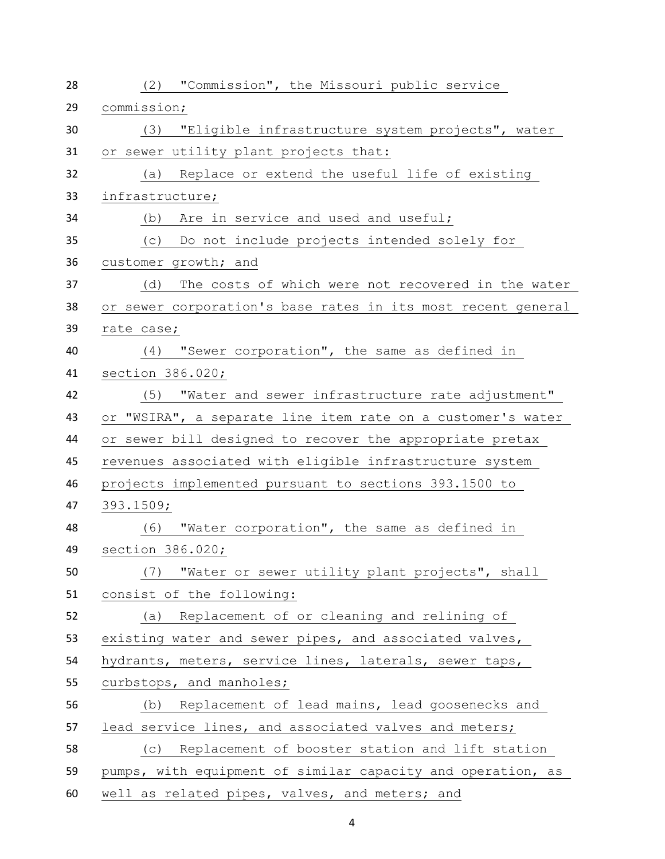| 28 | "Commission", the Missouri public service<br>(2)             |
|----|--------------------------------------------------------------|
| 29 | commission;                                                  |
| 30 | "Eligible infrastructure system projects", water<br>(3)      |
| 31 | or sewer utility plant projects that:                        |
| 32 | Replace or extend the useful life of existing<br>(a)         |
| 33 | infrastructure;                                              |
| 34 | Are in service and used and useful;<br>(b)                   |
| 35 | Do not include projects intended solely for<br>(C)           |
| 36 | customer growth; and                                         |
| 37 | The costs of which were not recovered in the water<br>(d)    |
| 38 | or sewer corporation's base rates in its most recent general |
| 39 | rate case;                                                   |
| 40 | "Sewer corporation", the same as defined in<br>(4)           |
| 41 | section 386.020;                                             |
| 42 | "Water and sewer infrastructure rate adjustment"<br>(5)      |
| 43 | or "WSIRA", a separate line item rate on a customer's water  |
| 44 | or sewer bill designed to recover the appropriate pretax     |
| 45 | revenues associated with eligible infrastructure system      |
| 46 | projects implemented pursuant to sections 393.1500 to        |
| 47 | 393.1509;                                                    |
| 48 | "Water corporation", the same as defined in<br>(6)           |
| 49 | section 386.020;                                             |
| 50 | "Water or sewer utility plant projects", shall<br>(7)        |
| 51 | consist of the following:                                    |
| 52 | Replacement of or cleaning and relining of<br>(a)            |
| 53 | existing water and sewer pipes, and associated valves,       |
| 54 | hydrants, meters, service lines, laterals, sewer taps,       |
| 55 | curbstops, and manholes;                                     |
| 56 | (b) Replacement of lead mains, lead goosenecks and           |
| 57 | lead service lines, and associated valves and meters;        |
| 58 | (c) Replacement of booster station and lift station          |
| 59 | pumps, with equipment of similar capacity and operation, as  |
| 60 | well as related pipes, valves, and meters; and               |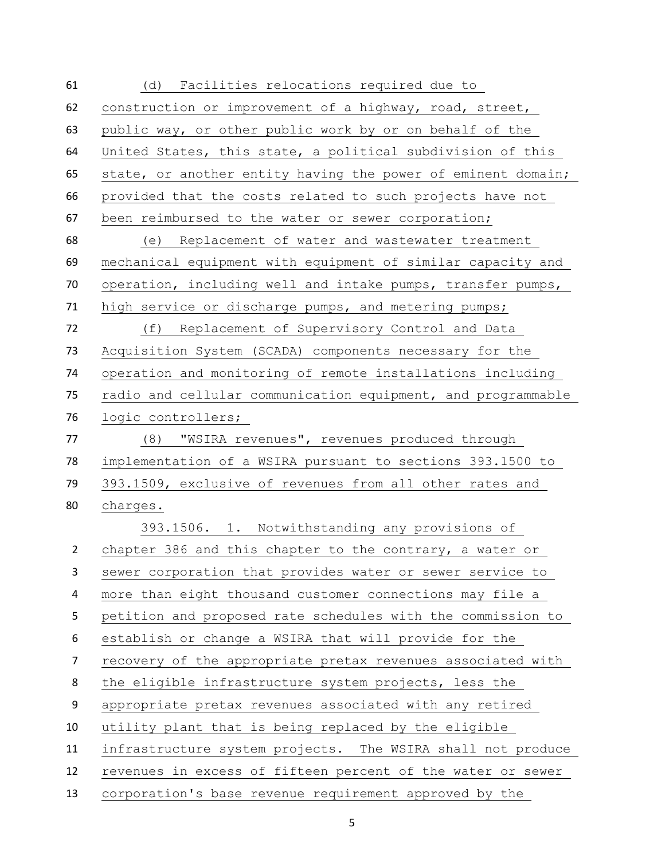(d) Facilities relocations required due to construction or improvement of a highway, road, street, public way, or other public work by or on behalf of the United States, this state, a political subdivision of this state, or another entity having the power of eminent domain; provided that the costs related to such projects have not been reimbursed to the water or sewer corporation; (e) Replacement of water and wastewater treatment mechanical equipment with equipment of similar capacity and operation, including well and intake pumps, transfer pumps, high service or discharge pumps, and metering pumps; (f) Replacement of Supervisory Control and Data Acquisition System (SCADA) components necessary for the operation and monitoring of remote installations including radio and cellular communication equipment, and programmable logic controllers; (8) "WSIRA revenues", revenues produced through implementation of a WSIRA pursuant to sections 393.1500 to 393.1509, exclusive of revenues from all other rates and charges. 393.1506. 1. Notwithstanding any provisions of chapter 386 and this chapter to the contrary, a water or sewer corporation that provides water or sewer service to more than eight thousand customer connections may file a petition and proposed rate schedules with the commission to establish or change a WSIRA that will provide for the recovery of the appropriate pretax revenues associated with the eligible infrastructure system projects, less the appropriate pretax revenues associated with any retired utility plant that is being replaced by the eligible infrastructure system projects. The WSIRA shall not produce revenues in excess of fifteen percent of the water or sewer corporation's base revenue requirement approved by the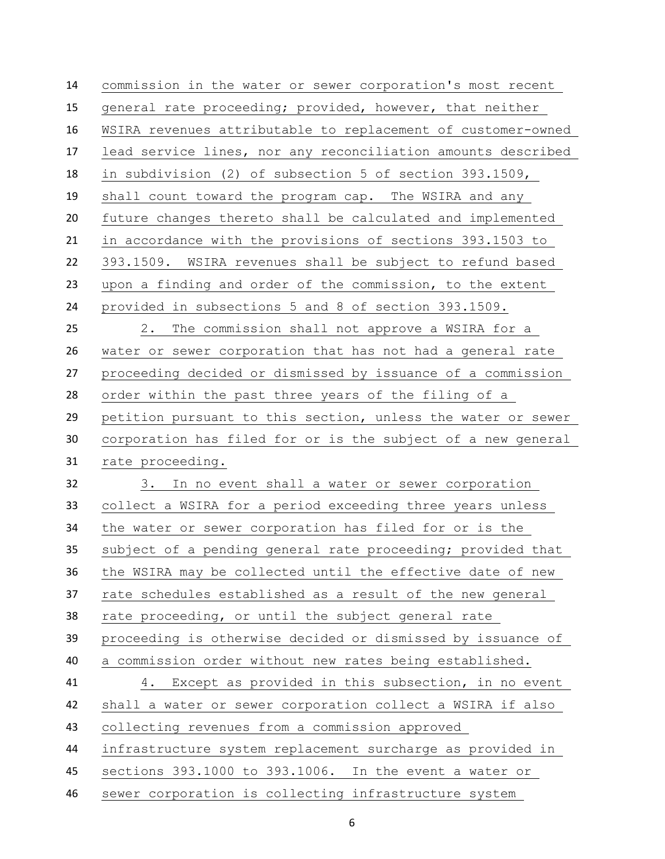commission in the water or sewer corporation's most recent general rate proceeding; provided, however, that neither WSIRA revenues attributable to replacement of customer-owned lead service lines, nor any reconciliation amounts described in subdivision (2) of subsection 5 of section 393.1509, shall count toward the program cap. The WSIRA and any future changes thereto shall be calculated and implemented in accordance with the provisions of sections 393.1503 to 393.1509. WSIRA revenues shall be subject to refund based upon a finding and order of the commission, to the extent provided in subsections 5 and 8 of section 393.1509. 2. The commission shall not approve a WSIRA for a water or sewer corporation that has not had a general rate proceeding decided or dismissed by issuance of a commission order within the past three years of the filing of a petition pursuant to this section, unless the water or sewer corporation has filed for or is the subject of a new general rate proceeding. 3. In no event shall a water or sewer corporation collect a WSIRA for a period exceeding three years unless the water or sewer corporation has filed for or is the subject of a pending general rate proceeding; provided that the WSIRA may be collected until the effective date of new rate schedules established as a result of the new general rate proceeding, or until the subject general rate proceeding is otherwise decided or dismissed by issuance of a commission order without new rates being established. 4. Except as provided in this subsection, in no event shall a water or sewer corporation collect a WSIRA if also collecting revenues from a commission approved infrastructure system replacement surcharge as provided in sections 393.1000 to 393.1006. In the event a water or sewer corporation is collecting infrastructure system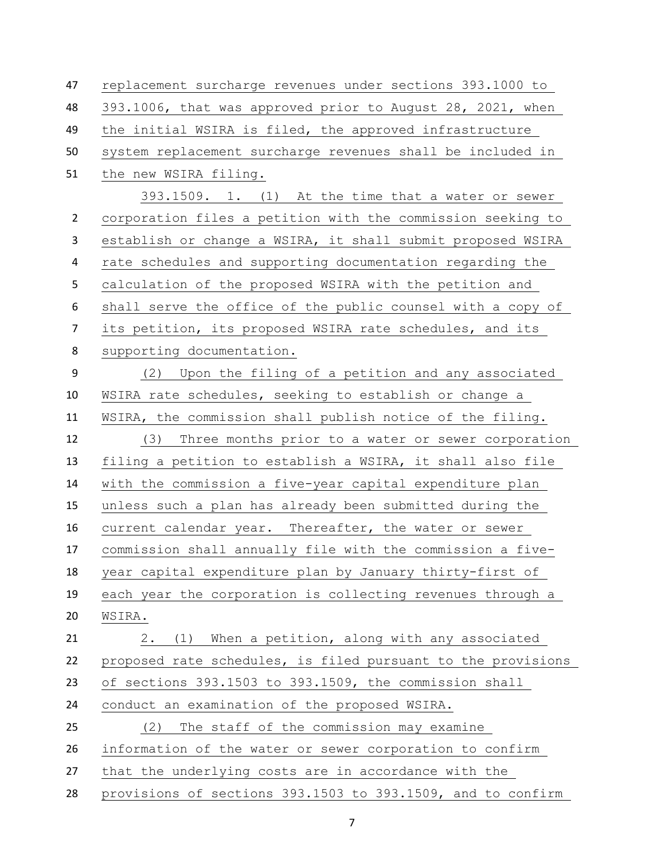| 47               | replacement surcharge revenues under sections 393.1000 to    |
|------------------|--------------------------------------------------------------|
| 48               | 393.1006, that was approved prior to August 28, 2021, when   |
| 49               | the initial WSIRA is filed, the approved infrastructure      |
| 50               | system replacement surcharge revenues shall be included in   |
| 51               | the new WSIRA filing.                                        |
|                  | 393.1509. 1. (1) At the time that a water or sewer           |
| $\overline{2}$   | corporation files a petition with the commission seeking to  |
| 3                | establish or change a WSIRA, it shall submit proposed WSIRA  |
| 4                | rate schedules and supporting documentation regarding the    |
| 5                | calculation of the proposed WSIRA with the petition and      |
| 6                | shall serve the office of the public counsel with a copy of  |
| $\overline{7}$   | its petition, its proposed WSIRA rate schedules, and its     |
| $\bf 8$          | supporting documentation.                                    |
| $\boldsymbol{9}$ | (2) Upon the filing of a petition and any associated         |
| 10               | WSIRA rate schedules, seeking to establish or change a       |
| 11               | WSIRA, the commission shall publish notice of the filing.    |
| 12               | (3) Three months prior to a water or sewer corporation       |
| 13               | filing a petition to establish a WSIRA, it shall also file   |
| 14               | with the commission a five-year capital expenditure plan     |
| 15               | unless such a plan has already been submitted during the     |
| 16               | current calendar year. Thereafter, the water or sewer        |
| 17               | commission shall annually file with the commission a five-   |
| 18               | year capital expenditure plan by January thirty-first of     |
| 19               | each year the corporation is collecting revenues through a   |
| 20               | WSIRA.                                                       |
| 21               | When a petition, along with any associated<br>2.<br>(1)      |
| 22               | proposed rate schedules, is filed pursuant to the provisions |
| 23               | of sections 393.1503 to 393.1509, the commission shall       |
| 24               | conduct an examination of the proposed WSIRA.                |
| 25               | (2)<br>The staff of the commission may examine               |
| 26               | information of the water or sewer corporation to confirm     |
| 27               | that the underlying costs are in accordance with the         |
| 28               | provisions of sections 393.1503 to 393.1509, and to confirm  |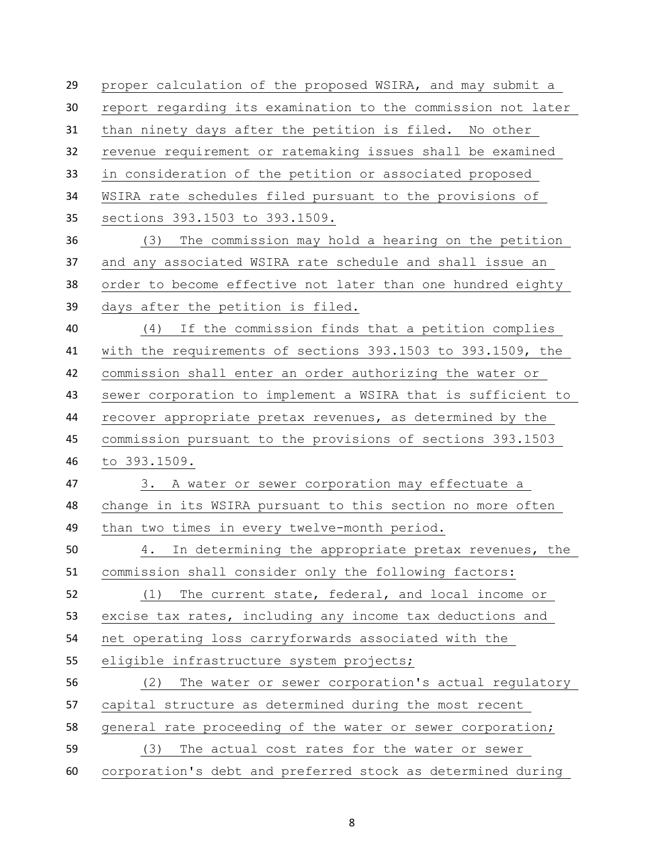proper calculation of the proposed WSIRA, and may submit a report regarding its examination to the commission not later than ninety days after the petition is filed. No other revenue requirement or ratemaking issues shall be examined in consideration of the petition or associated proposed WSIRA rate schedules filed pursuant to the provisions of sections 393.1503 to 393.1509. (3) The commission may hold a hearing on the petition and any associated WSIRA rate schedule and shall issue an order to become effective not later than one hundred eighty days after the petition is filed. (4) If the commission finds that a petition complies with the requirements of sections 393.1503 to 393.1509, the commission shall enter an order authorizing the water or sewer corporation to implement a WSIRA that is sufficient to recover appropriate pretax revenues, as determined by the commission pursuant to the provisions of sections 393.1503 to 393.1509. 3. A water or sewer corporation may effectuate a change in its WSIRA pursuant to this section no more often than two times in every twelve-month period. 4. In determining the appropriate pretax revenues, the commission shall consider only the following factors: (1) The current state, federal, and local income or excise tax rates, including any income tax deductions and net operating loss carryforwards associated with the eligible infrastructure system projects; (2) The water or sewer corporation's actual regulatory capital structure as determined during the most recent general rate proceeding of the water or sewer corporation; (3) The actual cost rates for the water or sewer corporation's debt and preferred stock as determined during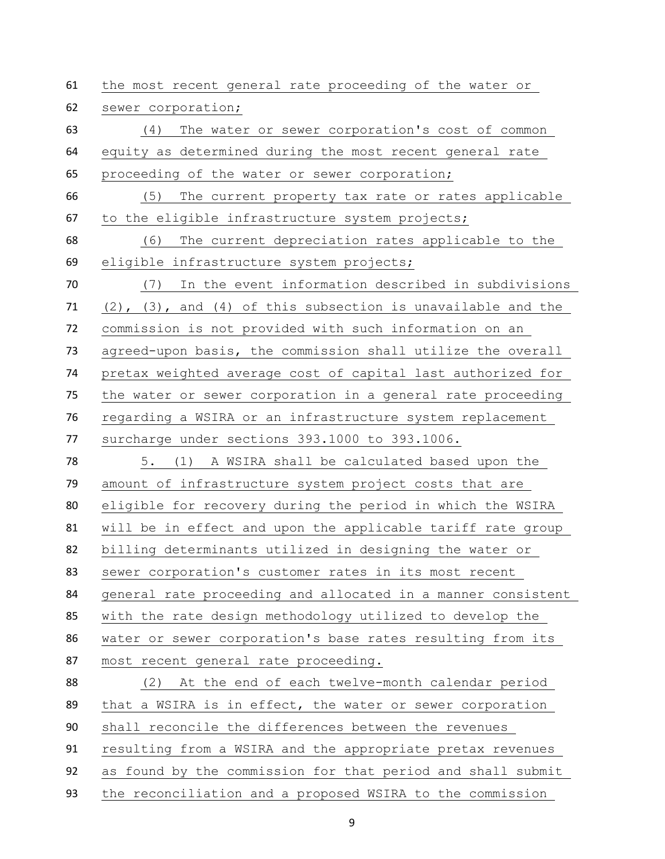| 61 | the most recent general rate proceeding of the water or             |
|----|---------------------------------------------------------------------|
| 62 | sewer corporation;                                                  |
| 63 | (4)<br>The water or sewer corporation's cost of common              |
| 64 | equity as determined during the most recent general rate            |
| 65 | proceeding of the water or sewer corporation;                       |
| 66 | (5)<br>The current property tax rate or rates applicable            |
| 67 | to the eligible infrastructure system projects;                     |
| 68 | (6)<br>The current depreciation rates applicable to the             |
| 69 | eligible infrastructure system projects;                            |
| 70 | In the event information described in subdivisions<br>(7)           |
| 71 | $(2)$ , $(3)$ , and $(4)$ of this subsection is unavailable and the |
| 72 | commission is not provided with such information on an              |
| 73 | agreed-upon basis, the commission shall utilize the overall         |
| 74 | pretax weighted average cost of capital last authorized for         |
| 75 | the water or sewer corporation in a general rate proceeding         |
| 76 | regarding a WSIRA or an infrastructure system replacement           |
| 77 | surcharge under sections 393.1000 to 393.1006.                      |
| 78 | A WSIRA shall be calculated based upon the<br>(1)<br>5.             |
| 79 | amount of infrastructure system project costs that are              |
| 80 | eligible for recovery during the period in which the WSIRA          |
| 81 | will be in effect and upon the applicable tariff rate group         |
| 82 | billing determinants utilized in designing the water or             |
| 83 | sewer corporation's customer rates in its most recent               |
| 84 | general rate proceeding and allocated in a manner consistent        |
| 85 | with the rate design methodology utilized to develop the            |
| 86 | water or sewer corporation's base rates resulting from its          |
| 87 | most recent general rate proceeding.                                |
| 88 | At the end of each twelve-month calendar period<br>(2)              |
| 89 | that a WSIRA is in effect, the water or sewer corporation           |
| 90 | shall reconcile the differences between the revenues                |
| 91 | resulting from a WSIRA and the appropriate pretax revenues          |
| 92 | as found by the commission for that period and shall submit         |
| 93 | the reconciliation and a proposed WSIRA to the commission           |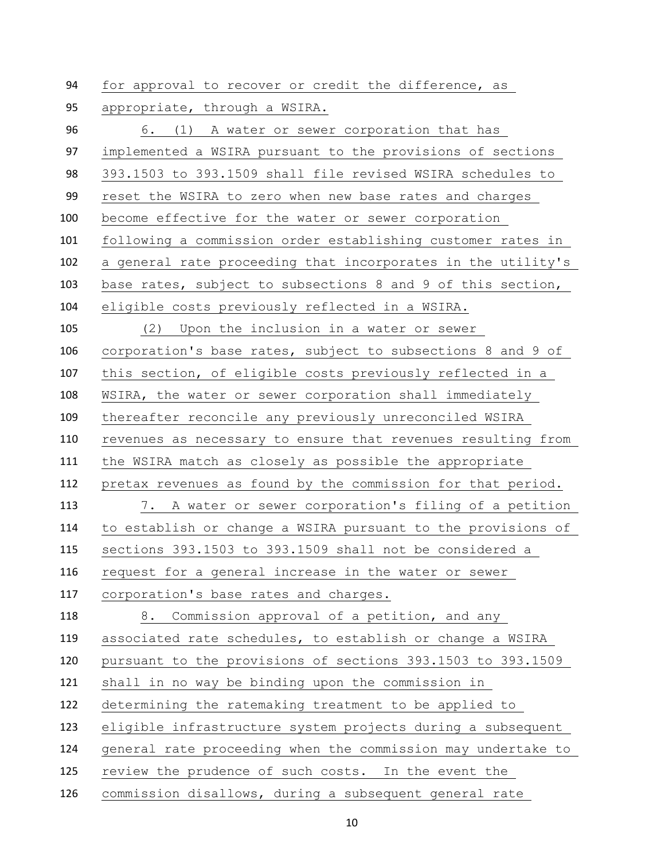for approval to recover or credit the difference, as appropriate, through a WSIRA. 6. (1) A water or sewer corporation that has implemented a WSIRA pursuant to the provisions of sections 393.1503 to 393.1509 shall file revised WSIRA schedules to reset the WSIRA to zero when new base rates and charges become effective for the water or sewer corporation following a commission order establishing customer rates in a general rate proceeding that incorporates in the utility's base rates, subject to subsections 8 and 9 of this section, eligible costs previously reflected in a WSIRA. (2) Upon the inclusion in a water or sewer corporation's base rates, subject to subsections 8 and 9 of this section, of eligible costs previously reflected in a WSIRA, the water or sewer corporation shall immediately thereafter reconcile any previously unreconciled WSIRA revenues as necessary to ensure that revenues resulting from the WSIRA match as closely as possible the appropriate pretax revenues as found by the commission for that period. 7. A water or sewer corporation's filing of a petition to establish or change a WSIRA pursuant to the provisions of sections 393.1503 to 393.1509 shall not be considered a request for a general increase in the water or sewer corporation's base rates and charges. 118 8. Commission approval of a petition, and any associated rate schedules, to establish or change a WSIRA pursuant to the provisions of sections 393.1503 to 393.1509 shall in no way be binding upon the commission in determining the ratemaking treatment to be applied to eligible infrastructure system projects during a subsequent general rate proceeding when the commission may undertake to review the prudence of such costs. In the event the commission disallows, during a subsequent general rate